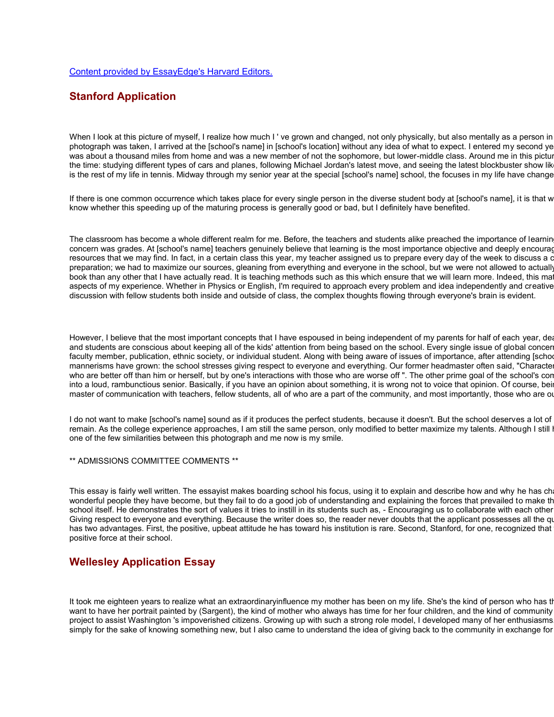## **Stanford Application**

When I look at this picture of myself, I realize how much I' ve grown and changed, not only physically, but also mentally as a person in photograph was taken, I arrived at the [school's name] in [school's location] without any idea of what to expect. I entered my second ye was about a thousand miles from home and was a new member of not the sophomore, but lower-middle class. Around me in this picture the time: studying different types of cars and planes, following Michael Jordan's latest move, and seeing the latest blockbuster show lik is the rest of my life in tennis. Midway through my senior year at the special [school's name] school, the focuses in my life have change

If there is one common occurrence which takes place for every single person in the diverse student body at [school's name], it is that w know whether this speeding up of the maturing process is generally good or bad, but I definitely have benefited.

The classroom has become a whole different realm for me. Before, the teachers and students alike preached the importance of learnin concern was grades. At [school's name] teachers genuinely believe that learning is the most importance objective and deeply encourage resources that we may find. In fact, in a certain class this year, my teacher assigned us to prepare every day of the week to discuss a certa preparation; we had to maximize our sources, gleaning from everything and everyone in the school, but we were not allowed to actually book than any other that I have actually read. It is teaching methods such as this which ensure that we will learn more. Indeed, this ma aspects of my experience. Whether in Physics or English, I'm required to approach every problem and idea independently and creative discussion with fellow students both inside and outside of class, the complex thoughts flowing through everyone's brain is evident.

However, I believe that the most important concepts that I have espoused in being independent of my parents for half of each year, dea and students are conscious about keeping all of the kids' attention from being based on the school. Every single issue of global concer faculty member, publication, ethnic society, or individual student. Along with being aware of issues of importance, after attending [school] mannerisms have grown: the school stresses giving respect to everyone and everything. Our former headmaster often said, "Characte who are better off than him or herself, but by one's interactions with those who are worse off ". The other prime goal of the school's con into a loud, rambunctious senior. Basically, if you have an opinion about something, it is wrong not to voice that opinion. Of course, being master of communication with teachers, fellow students, all of who are a part of the community, and most importantly, those who are or

I do not want to make [school's name] sound as if it produces the perfect students, because it doesn't. But the school deserves a lot of remain. As the college experience approaches, I am still the same person, only modified to better maximize my talents. Although I still one of the few similarities between this photograph and me now is my smile.

### \*\* ADMISSIONS COMMITTEE COMMENTS \*\*

This essay is fairly well written. The essayist makes boarding school his focus, using it to explain and describe how and why he has ch wonderful people they have become, but they fail to do a good job of understanding and explaining the forces that prevailed to make them school itself. He demonstrates the sort of values it tries to instill in its students such as, - Encouraging us to collaborate with each other Giving respect to everyone and everything. Because the writer does so, the reader never doubts that the applicant possesses all the quality has two advantages. First, the positive, upbeat attitude he has toward his institution is rare. Second, Stanford, for one, recognized that positive force at their school.

# **Wellesley Application Essay**

It took me eighteen years to realize what an extraordinaryinfluence my mother has been on my life. She's the kind of person who has tl want to have her portrait painted by (Sargent), the kind of mother who always has time for her four children, and the kind of community project to assist Washington 's impoverished citizens. Growing up with such a strong role model, I developed many of her enthusiasms simply for the sake of knowing something new, but I also came to understand the idea of giving back to the community in exchange for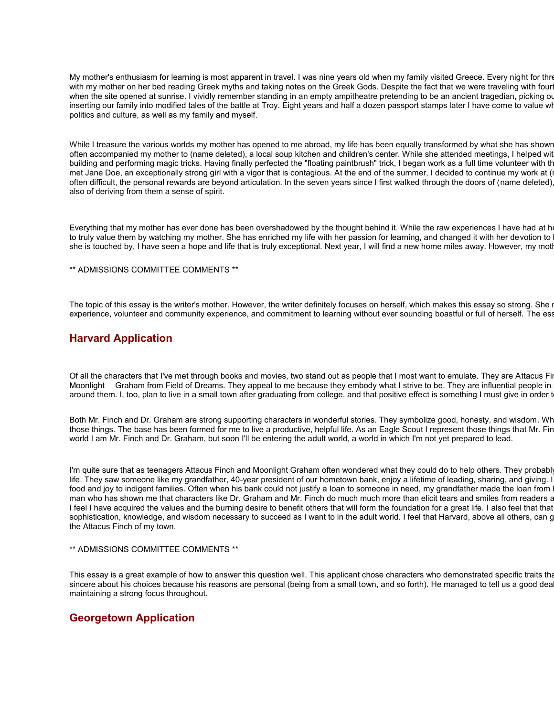My mother's enthusiasm for learning is most apparent in travel. I was nine years old when my family visited Greece. Every night for three with my mother on her bed reading Greek myths and taking notes on the Greek Gods. Despite the fact that we were traveling with four when the site opened at sunrise. I vividly remember standing in an empty ampitheatre pretending to be an ancient tragedian, picking out inserting our family into modified tales of the battle at Troy. Eight years and half a dozen passport stamps later I have come to value wh politics and culture, as well as my family and myself.

While I treasure the various worlds my mother has opened to me abroad, my life has been equally transformed by what she has shown often accompanied my mother to (name deleted), a local soup kitchen and children's center. While she attended meetings, I helped with t building and performing magic tricks. Having finally perfected the "floating paintbrush" trick, I began work as a full time volunteer with the met Jane Doe, an exceptionally strong girl with a vigor that is contagious. At the end of the summer, I decided to continue my work at (nable often difficult, the personal rewards are beyond articulation. In the seven years since I first walked through the doors of (name deleted), I also of deriving from them a sense of spirit.

Everything that my mother has ever done has been overshadowed by the thought behind it. While the raw experiences I have had at h to truly value them by watching my mother. She has enriched my life with her passion for learning, and changed it with her devotion to she is touched by, I have seen a hope and life that is truly exceptional. Next year, I will find a new home miles away. However, my mot

\*\* ADMISSIONS COMMITTEE COMMENTS \*\*

The topic of this essay is the writer's mother. However, the writer definitely focuses on herself, which makes this essay so strong. She i experience, volunteer and community experience, and commitment to learning without ever sounding boastful or full of herself. The ess

# **Harvard Application**

Of all the characters that I've met through books and movies, two stand out as people that I most want to emulate. They are Attacus Fin Moonlight Graham from Field of Dreams. They appeal to me because they embody what I strive to be. They are influential people in around them. I, too, plan to live in a small town after graduating from college, and that positive effect is something I must give in order t

Both Mr. Finch and Dr. Graham are strong supporting characters in wonderful stories. They symbolize good, honesty, and wisdom. Wh those things. The base has been formed for me to live a productive, helpful life. As an Eagle Scout I represent those things that Mr. Fin world I am Mr. Finch and Dr. Graham, but soon I'll be entering the adult world, a world in which I'm not yet prepared to lead.

I'm quite sure that as teenagers Attacus Finch and Moonlight Graham often wondered what they could do to help others. They probabl life. They saw someone like my grandfather, 40-year president of our hometown bank, enjoy a lifetime of leading, sharing, and giving. I food and joy to indigent families. Often when his bank could not justify a loan to someone in need, my grandfather made the loan from man who has shown me that characters like Dr. Graham and Mr. Finch do much much more than elicit tears and smiles from readers a I feel I have acquired the values and the burning desire to benefit others that will form the foundation for a great life. I also feel that that sophistication, knowledge, and wisdom necessary to succeed as I want to in the adult world. I feel that Harvard, above all others, can g the Attacus Finch of my town.

### \*\* ADMISSIONS COMMITTEE COMMENTS \*\*

This essay is a great example of how to answer this question well. This applicant chose characters who demonstrated specific traits that sincere about his choices because his reasons are personal (being from a small town, and so forth). He managed to tell us a good deal maintaining a strong focus throughout.

### **Georgetown Application**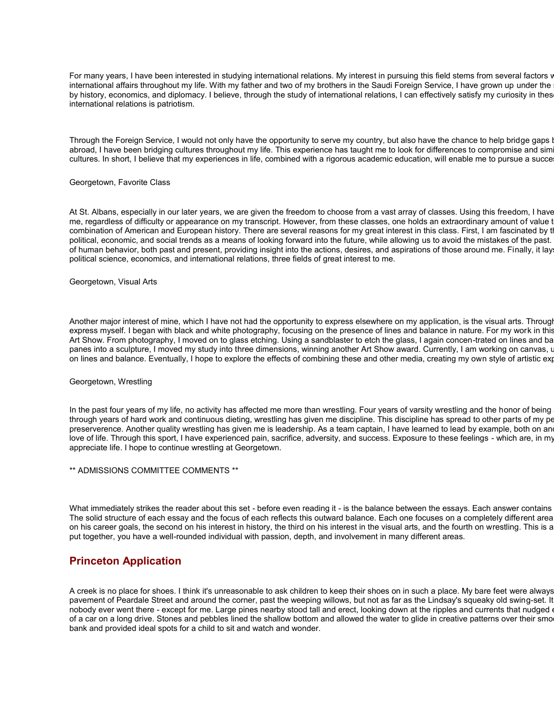For many years, I have been interested in studying international relations. My interest in pursuing this field stems from several factors wh international affairs throughout my life. With my father and two of my brothers in the Saudi Foreign Service, I have grown up under the by history, economics, and diplomacy. I believe, through the study of international relations, I can effectively satisfy my curiosity in thes international relations is patriotism.

Through the Foreign Service, I would not only have the opportunity to serve my country, but also have the chance to help bridge gaps between the chance of help bridge gaps between the chance to help bridge gaps between the abroad, I have been bridging cultures throughout my life. This experience has taught me to look for differences to compromise and sim cultures. In short, I believe that my experiences in life, combined with a rigorous academic education, will enable me to pursue a success

### Georgetown, Favorite Class

At St. Albans, especially in our later years, we are given the freedom to choose from a vast array of classes. Using this freedom, I have me, regardless of difficulty or appearance on my transcript. However, from these classes, one holds an extraordinary amount of value t combination of American and European history. There are several reasons for my great interest in this class. First, I am fascinated by the political, economic, and social trends as a means of looking forward into the future, while allowing us to avoid the mistakes of the past. of human behavior, both past and present, providing insight into the actions, desires, and aspirations of those around me. Finally, it lays a political science, economics, and international relations, three fields of great interest to me.

Georgetown, Visual Arts

Another major interest of mine, which I have not had the opportunity to express elsewhere on my application, is the visual arts. Through express myself. I began with black and white photography, focusing on the presence of lines and balance in nature. For my work in this Art Show. From photography, I moved on to glass etching. Using a sandblaster to etch the glass, I again concen-trated on lines and balance panes into a sculpture, I moved my study into three dimensions, winning another Art Show award. Currently, I am working on canvas, us on lines and balance. Eventually, I hope to explore the effects of combining these and other media, creating my own style of artistic exp

#### Georgetown, Wrestling

In the past four years of my life, no activity has affected me more than wrestling. Four years of varsity wrestling and the honor of being through years of hard work and continuous dieting, wrestling has given me discipline. This discipline has spread to other parts of my pers preserverence. Another quality wrestling has given me is leadership. As a team captain, I have learned to lead by example, both on an love of life. Through this sport, I have experienced pain, sacrifice, adversity, and success. Exposure to these feelings - which are, in my appreciate life. I hope to continue wrestling at Georgetown.

\*\* ADMISSIONS COMMITTEE COMMENTS \*\*

What immediately strikes the reader about this set - before even reading it - is the balance between the essays. Each answer contains The solid structure of each essay and the focus of each reflects this outward balance. Each one focuses on a completely different area on his career goals, the second on his interest in history, the third on his interest in the visual arts, and the fourth on wrestling. This is a p put together, you have a well-rounded individual with passion, depth, and involvement in many different areas.

### **Princeton Application**

A creek is no place for shoes. I think it's unreasonable to ask children to keep their shoes on in such a place. My bare feet were always c pavement of Peardale Street and around the corner, past the weeping willows, but not as far as the Lindsay's squeaky old swing-set. It nobody ever went there - except for me. Large pines nearby stood tall and erect, looking down at the ripples and currents that nudged of a car on a long drive. Stones and pebbles lined the shallow bottom and allowed the water to glide in creative patterns over their smoot bank and provided ideal spots for a child to sit and watch and wonder.